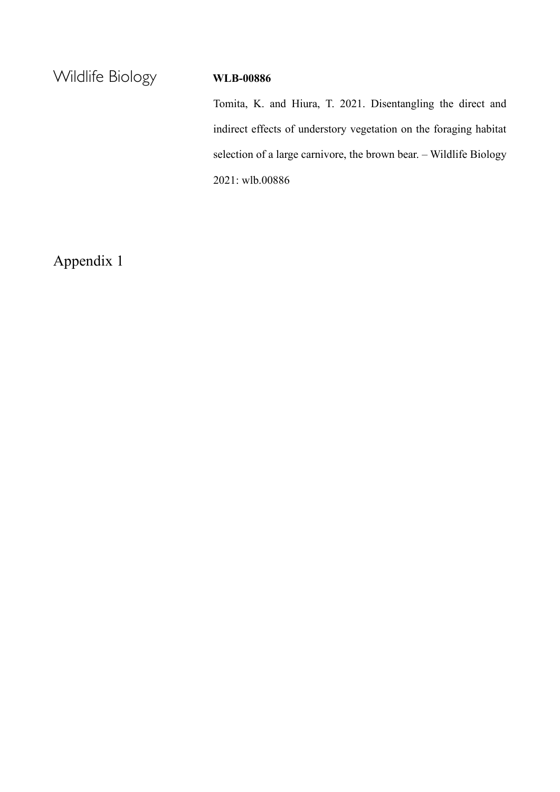Wildlife Biology **WLB-00886**

Tomita, K. and Hiura, T. 2021. Disentangling the direct and indirect effects of understory vegetation on the foraging habitat selection of a large carnivore, the brown bear. – Wildlife Biology 2021: wlb.00886

Appendix 1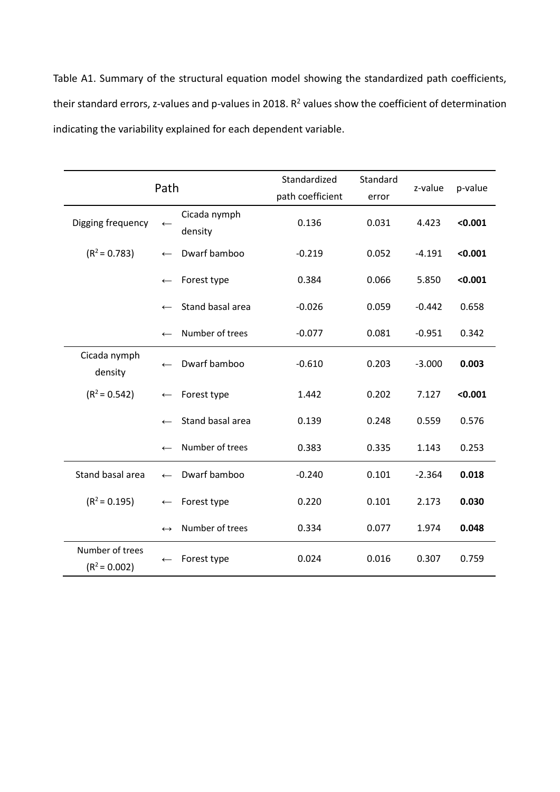Table A1. Summary of the structural equation model showing the standardized path coefficients, their standard errors, z-values and p-values in 2018.  $R^2$  values show the coefficient of determination indicating the variability explained for each dependent variable.

| Path                               |                   |                         | Standardized     | Standard | z-value  | p-value |
|------------------------------------|-------------------|-------------------------|------------------|----------|----------|---------|
|                                    |                   |                         | path coefficient | error    |          |         |
| Digging frequency                  | $\leftarrow$      | Cicada nymph<br>density | 0.136            | 0.031    | 4.423    | < 0.001 |
| $(R2 = 0.783)$                     | $\leftarrow$      | Dwarf bamboo            | $-0.219$         | 0.052    | $-4.191$ | < 0.001 |
|                                    | $\leftarrow$      | Forest type             | 0.384            | 0.066    | 5.850    | < 0.001 |
|                                    | $\leftarrow$      | Stand basal area        | $-0.026$         | 0.059    | $-0.442$ | 0.658   |
|                                    | $\leftarrow$      | Number of trees         | $-0.077$         | 0.081    | $-0.951$ | 0.342   |
| Cicada nymph<br>density            | $\leftarrow$      | Dwarf bamboo            | $-0.610$         | 0.203    | $-3.000$ | 0.003   |
| $(R2 = 0.542)$                     | $\leftarrow$      | Forest type             | 1.442            | 0.202    | 7.127    | < 0.001 |
|                                    | $\leftarrow$      | Stand basal area        | 0.139            | 0.248    | 0.559    | 0.576   |
|                                    | $\leftarrow$      | Number of trees         | 0.383            | 0.335    | 1.143    | 0.253   |
| Stand basal area                   | $\leftarrow$      | Dwarf bamboo            | $-0.240$         | 0.101    | $-2.364$ | 0.018   |
| $(R^2 = 0.195)$                    | $\leftarrow$      | Forest type             | 0.220            | 0.101    | 2.173    | 0.030   |
|                                    | $\leftrightarrow$ | Number of trees         | 0.334            | 0.077    | 1.974    | 0.048   |
| Number of trees<br>$(R^2 = 0.002)$ | $\leftarrow$      | Forest type             | 0.024            | 0.016    | 0.307    | 0.759   |